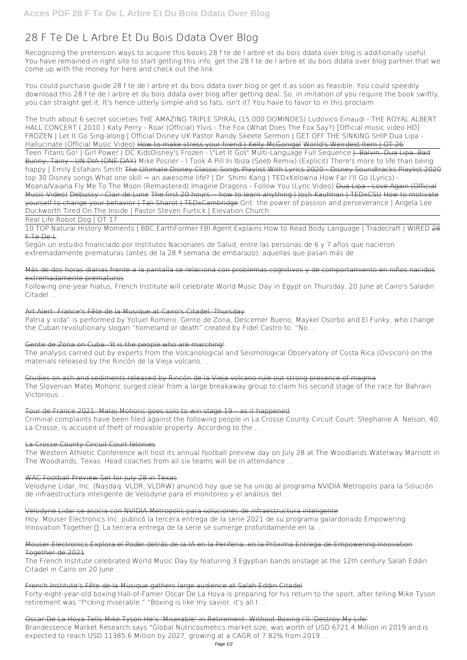# **28 F Te De L Arbre Et Du Bois Ddata Over Blog**

Recognizing the pretension ways to acquire this books **28 f te de l arbre et du bois ddata over blog** is additionally useful. You have remained in right site to start getting this info. get the 28 f te de l arbre et du bois ddata over blog partner that we come up with the money for here and check out the link.

You could purchase guide 28 f te de l arbre et du bois ddata over blog or get it as soon as feasible. You could speedily download this 28 f te de l arbre et du bois ddata over blog after getting deal. So, in imitation of you require the book swiftly, you can straight get it. It's hence utterly simple and so fats, isn't it? You have to favor to in this proclaim

Según un estudio financiado por Institutos Nacionales de Salud, entre las personas de 6 y 7 años que nacieron extremadamente prematuras (antes de la 28.ª semana de embarazo), aquellas que pasan más de ...

*The truth about 6 secret societies* **THE AMAZING TRIPLE SPIRAL (15,000 DOMINOES) Ludovico Einaudi - THE ROYAL ALBERT HALL CONCERT ( 2010 )** Katy Perry - Roar (Official) **Ylvis - The Fox (What Does The Fox Say?) [Official music video HD] FROZEN | Let It Go Sing-along | Official Disney UK** *Pastor Randy Skeete Sermon | GET OFF THE SINKING SHIP Dua Lipa - Hallucinate (Official Music Video)* How to make stress your friend | Kelly McGonigal World's Weirdest Item | OT 26 Teen Titans Go! | Girl Power | DC Kids**Disney's Frozen - \"Let It Go\" Multi-Language Full Sequence** J. Balvin, Dua Lipa, Bad Bunny, Tainy - UN DIA (ONE DAY) *Mike Posner - I Took A Pill In Ibiza (Seeb Remix) (Explicit)* There's more to life than being happy | Emily Esfahani Smith The Ultimate Disney Classic Songs Playlist With Lyrics 2020 - Disney Soundtracks Playlist 2020 top 30 Disney songs **What one skill = an awesome life? | Dr. Shimi Kang | TEDxKelowna** *How Far I'll Go (Lyrics) - Moana/Vaiana* Fly Me To The Moon (Remastered) *Imagine Dragons - Follow You (Lyric Video)* Dua Lipa - Love Again (Official Music Video) Debussy - Clair de Lune The first 20 hours -- how to learn anything Hosh Kaufman I TEDxCSU How to motivate yourself to change your behavior | Tali Sharot | TEDxCambridge Grit: the power of passion and perseverance | Angela Lee Duckworth *Tired On The Inside | Pastor Steven Furtick | Elevation Church*

Velodyne Lidar se asocia con NVIDIA Metropolis para soluciones de infraestructura inteligente Hoy, Mouser Electronics Inc. publicó la tercera entrega de la serie 2021 de su programa galardonado Empowering Innovation Together ∏. La tercera entrega de la serie se sumerge profundamente en la ...

Real Life Robot Dog | OT 17

10 TOP Natural History Moments | BBC Earth**Former FBI Agent Explains How to Read Body Language | Tradecraft | WIRED** 28 F Te De L

The French Institute celebrated World Music Day by featuring 3 Egyptian bands onstage at the 12th century Salah Eddin Citadel in Cairo on 20 June ...

Más de dos horas diarias frente a la pantalla se relaciona con problemas cognitivos y de comportamiento en niños nacidos extremadamente prematuros

Following one-year hiatus, French Institute will celebrate World Music Day in Egypt on Thursday, 20 June at Cairo's Saladin Citadel ...

# Art Alert: France's Fête de la Musique at Cairo's Citadel, Thursday

Patria y vida" is performed by Yotuel Romero, Gente de Zona, Descemer Bueno, Maykel Osorbo and El Funky, who change the Cuban revolutionary slogan "homeland or death" created by Fidel Castro to: "No ...

## Gente de Zona on Cuba: 'It is the people who are marching'

The analysis carried out by experts from the Volcanological and Seismological Observatory of Costa Rica (Ovsicori) on the materials released by the Rincón de la Vieja volcano, ...

Studies on ash and sediments released by Rincón de la Vieja volcano rule out strong presence of magma The Slovenian Matej Mohoric surged clear from a large breakaway group to claim his second stage of the race for Bahrain Victorious ...

# Tour de France 2021: Matej Mohoric goes solo to win stage 19 – as it happened

Criminal complaints have been filed against the following people in La Crosse County Circuit Court: Stephanie A. Nelson, 40, La Crosse, is accused of theft of movable property. According to the ...

# La Crosse County Circuit Court felonies

The Western Athletic Conference will host its annual football preview day on July 28 at The Woodlands Waterway Marriott in The Woodlands, Texas. Head coaches from all six teams will be in attendance ...

## WAC Football Preview Set for July 28 in Texas

Velodyne Lidar, Inc. (Nasdaq: VLDR, VLDRW) anunció hoy que se ha unido al programa NVIDIA Metropolis para la Solución de infraestructura inteligente de Velodyne para el monitoreo y el análisis del ...

Mouser Electronics Explora el Poder detrás de la IA en la Periferia, en la Próxima Entrega de Empowering Innovation Together de 2021

French Institute's Fête de la Musique gathers large audience at Salah Eddin Citadel Forty-eight-year-old boxing Hall-of-Famer Oscar De La Hoya is preparing for his return to the sport, after telling Mike Tyson retirement was "f\*cking miserable." "Boxing is like my savior, it's all I ...

Oscar De La Hoya Tells Mike Tyson He's 'Miserable' in Retirement: Without Boxing I'll 'Destroy My Life' Brandessence Market Research says "Global Nutricosmetics market size, was worth of USD 6721.4 Million in 2019 and is expected to reach USD 11385.6 Million by 2027, growing at a CAGR of 7.82% from 2019 ...